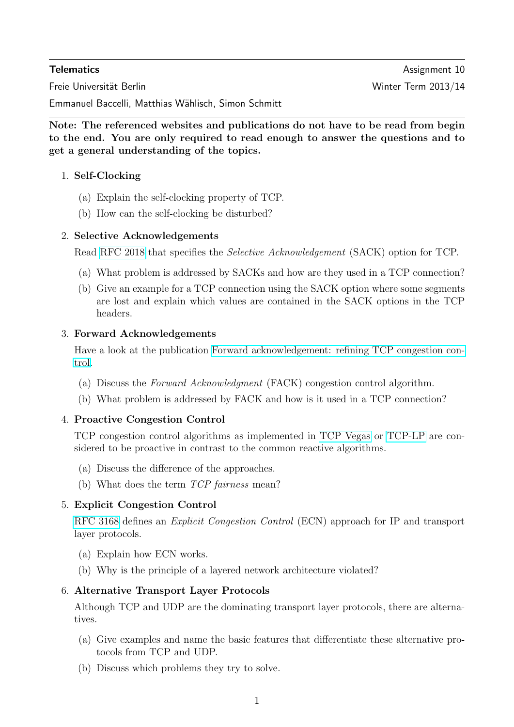**Telematics** Assignment 10 Freie Universität Berlin Winter Term 2013/14

Emmanuel Baccelli, Matthias Wählisch, Simon Schmitt

Note: The referenced websites and publications do not have to be read from begin to the end. You are only required to read enough to answer the questions and to get a general understanding of the topics.

# 1. Self-Clocking

- (a) Explain the self-clocking property of TCP.
- (b) How can the self-clocking be disturbed?

## 2. Selective Acknowledgements

Read [RFC 2018](http://www.ietf.org/rfc/rfc2018.txt) that specifies the Selective Acknowledgement (SACK) option for TCP.

- (a) What problem is addressed by SACKs and how are they used in a TCP connection?
- (b) Give an example for a TCP connection using the SACK option where some segments are lost and explain which values are contained in the SACK options in the TCP headers.

## 3. Forward Acknowledgements

Have a look at the publication [Forward acknowledgement: refining TCP congestion con](http://doi.acm.org/10.1145/248157.248181)[trol.](http://doi.acm.org/10.1145/248157.248181)

- (a) Discuss the Forward Acknowledgment (FACK) congestion control algorithm.
- (b) What problem is addressed by FACK and how is it used in a TCP connection?

## 4. Proactive Congestion Control

TCP congestion control algorithms as implemented in [TCP Vegas](http://www.cs.princeton.edu/research/techreps/TR-628-00) or [TCP-LP](http://dx.doi.org/10.1109/TNET.2006.879702) are considered to be proactive in contrast to the common reactive algorithms.

- (a) Discuss the difference of the approaches.
- (b) What does the term TCP fairness mean?

# 5. Explicit Congestion Control

[RFC 3168](http://tools.ietf.org/html/rfc3168) defines an Explicit Congestion Control (ECN) approach for IP and transport layer protocols.

- (a) Explain how ECN works.
- (b) Why is the principle of a layered network architecture violated?

## 6. Alternative Transport Layer Protocols

Although TCP and UDP are the dominating transport layer protocols, there are alternatives.

- (a) Give examples and name the basic features that differentiate these alternative protocols from TCP and UDP.
- (b) Discuss which problems they try to solve.